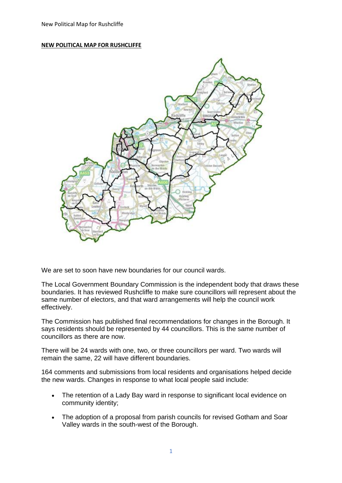## **NEW POLITICAL MAP FOR RUSHCLIFFE**



We are set to soon have new boundaries for our council wards.

The Local Government Boundary Commission is the independent body that draws these boundaries. It has reviewed Rushcliffe to make sure councillors will represent about the same number of electors, and that ward arrangements will help the council work effectively.

The Commission has published final recommendations for changes in the Borough. It says residents should be represented by 44 councillors. This is the same number of councillors as there are now.

There will be 24 wards with one, two, or three councillors per ward. Two wards will remain the same, 22 will have different boundaries.

164 comments and submissions from local residents and organisations helped decide the new wards. Changes in response to what local people said include:

- The retention of a Lady Bay ward in response to significant local evidence on community identity;
- The adoption of a proposal from parish councils for revised Gotham and Soar Valley wards in the south-west of the Borough.